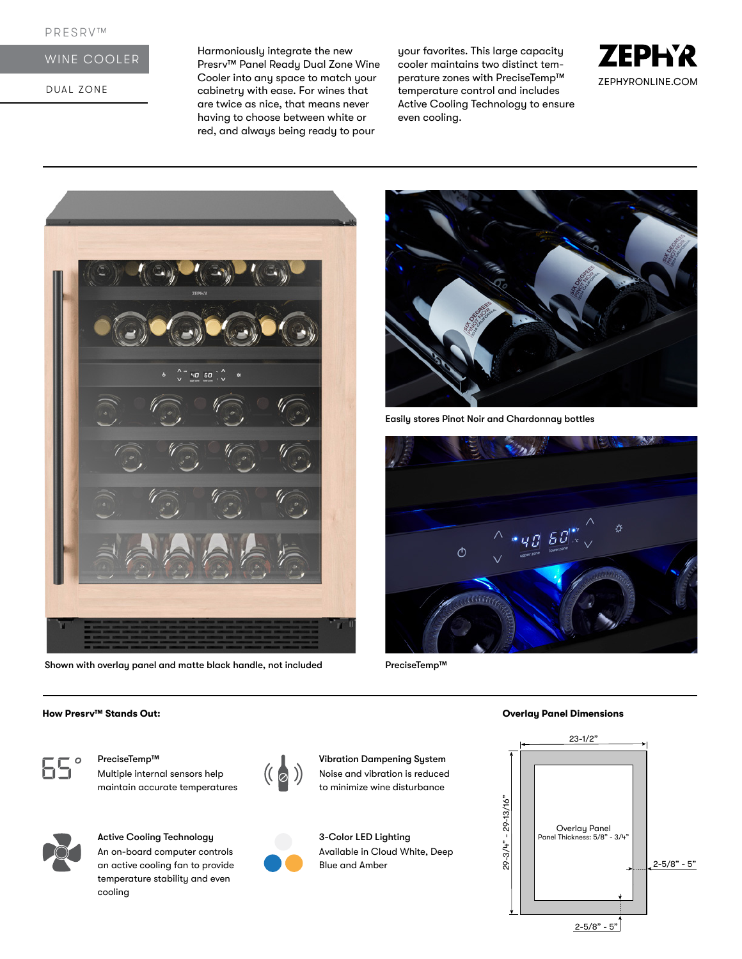# WINE COOLER

DUAL ZONE

Harmoniously integrate the new Presrv™ Panel Ready Dual Zone Wine Cooler into any space to match your cabinetry with ease. For wines that are twice as nice, that means never having to choose between white or red, and always being ready to pour

your favorites. This large capacity cooler maintains two distinct temperature zones with PreciseTemp™ temperature control and includes Active Cooling Technology to ensure even cooling.





Shown with overlay panel and matte black handle, not included



Easily stores Pinot Noir and Chardonnay bottles



PreciseTemp™



PreciseTemp™ 1999 Contract Contract Contract Contract Contract Contract Contract Contract Contract Contract Co Multiple internal sensors help maintain accurate temperatures



Active Cooling Technology An on-board computer controls an active cooling fan to provide temperature stability and even cooling



Noise and vibration is reduced to minimize wine disturbance

3-Color LED Lighting Available in Cloud White, Deep Blue and Amber

## **How Presrv™ Stands Out: Overlay Panel Dimensions**